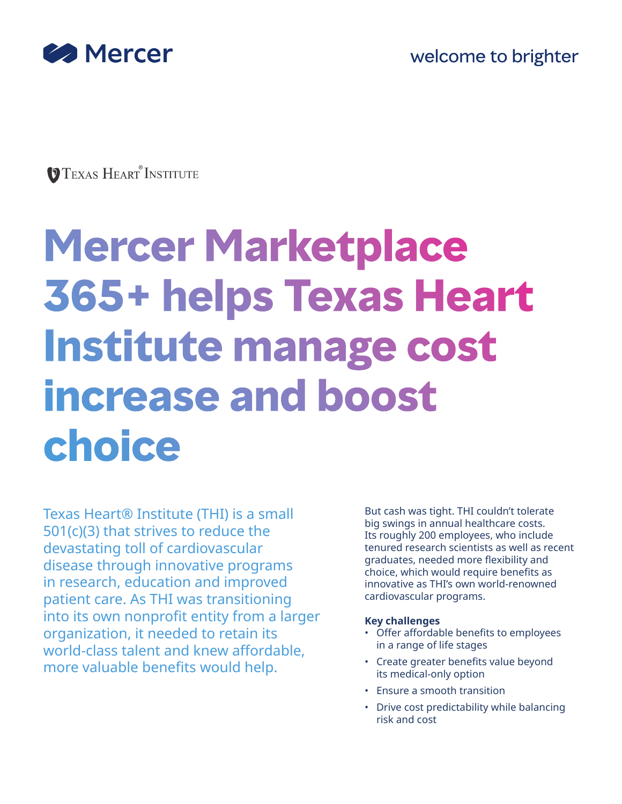

**TEXAS HEART INSTITUTE** 

# **Mercer Marketplace 365+ helps Texas Heart Institute manage cost increase and boost choice**

Texas Heart® Institute (THI) is a small 501(c)(3) that strives to reduce the devastating toll of cardiovascular disease through innovative programs in research, education and improved patient care. As THI was transitioning into its own nonprofit entity from a larger organization, it needed to retain its world-class talent and knew affordable, more valuable benefits would help.

But cash was tight. THI couldn't tolerate big swings in annual healthcare costs. Its roughly 200 employees, who include tenured research scientists as well as recent graduates, needed more flexibility and choice, which would require benefits as innovative as THI's own world-renowned cardiovascular programs.

## **Key challenges**

- Offer affordable benefits to employees in a range of life stages
- Create greater benefits value beyond its medical-only option
- Ensure a smooth transition
- Drive cost predictability while balancing risk and cost